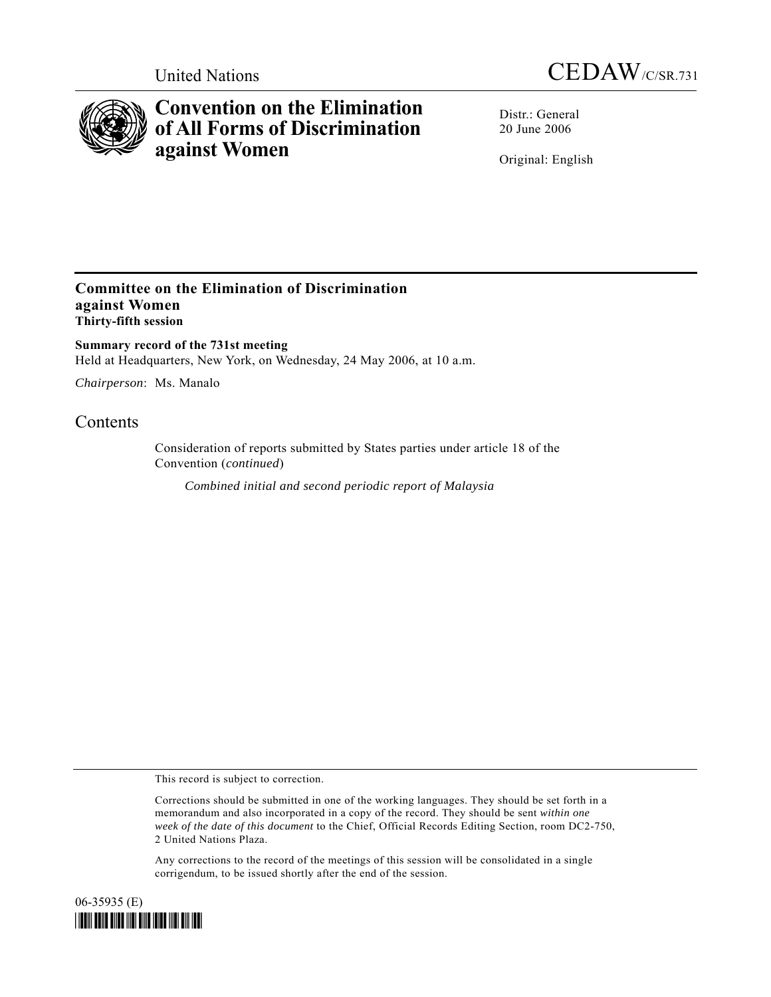



# **Convention on the Elimination of All Forms of Discrimination against Women**

Distr.: General 20 June 2006

Original: English

# **Committee on the Elimination of Discrimination against Women Thirty-fifth session**

**Summary record of the 731st meeting**  Held at Headquarters, New York, on Wednesday, 24 May 2006, at 10 a.m.

*Chairperson*: Ms. Manalo

# **Contents**

Consideration of reports submitted by States parties under article 18 of the Convention (*continued*)

*Combined initial and second periodic report of Malaysia* 

This record is subject to correction.

Corrections should be submitted in one of the working languages. They should be set forth in a memorandum and also incorporated in a copy of the record. They should be sent *within one week of the date of this document* to the Chief, Official Records Editing Section, room DC2-750, 2 United Nations Plaza.

Any corrections to the record of the meetings of this session will be consolidated in a single corrigendum, to be issued shortly after the end of the session.

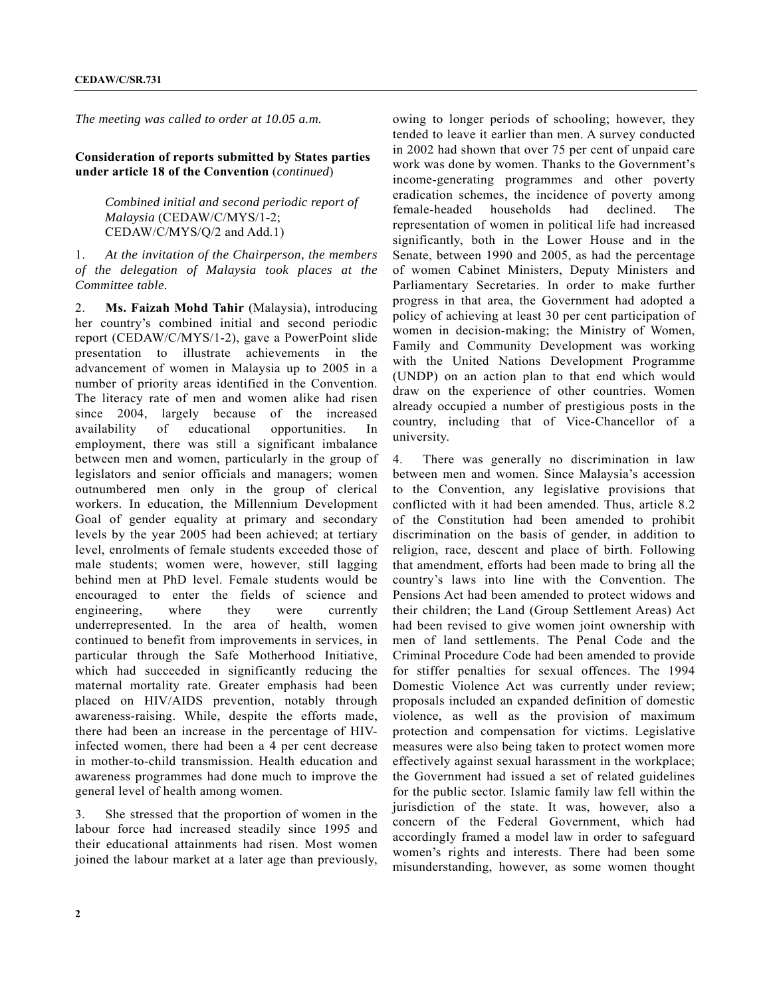*The meeting was called to order at 10.05 a.m.* 

## **Consideration of reports submitted by States parties under article 18 of the Convention** (*continued*)

 *Combined initial and second periodic report of Malaysia* (CEDAW/C/MYS/1-2; CEDAW/C/MYS/Q/2 and Add.1)

1. *At the invitation of the Chairperson, the members of the delegation of Malaysia took places at the Committee table.*

2. **Ms. Faizah Mohd Tahir** (Malaysia), introducing her country's combined initial and second periodic report (CEDAW/C/MYS/1-2), gave a PowerPoint slide presentation to illustrate achievements in the advancement of women in Malaysia up to 2005 in a number of priority areas identified in the Convention. The literacy rate of men and women alike had risen since 2004, largely because of the increased availability of educational opportunities. In employment, there was still a significant imbalance between men and women, particularly in the group of legislators and senior officials and managers; women outnumbered men only in the group of clerical workers. In education, the Millennium Development Goal of gender equality at primary and secondary levels by the year 2005 had been achieved; at tertiary level, enrolments of female students exceeded those of male students; women were, however, still lagging behind men at PhD level. Female students would be encouraged to enter the fields of science and engineering, where they were currently underrepresented. In the area of health, women continued to benefit from improvements in services, in particular through the Safe Motherhood Initiative, which had succeeded in significantly reducing the maternal mortality rate. Greater emphasis had been placed on HIV/AIDS prevention, notably through awareness-raising. While, despite the efforts made, there had been an increase in the percentage of HIVinfected women, there had been a 4 per cent decrease in mother-to-child transmission. Health education and awareness programmes had done much to improve the general level of health among women.

3. She stressed that the proportion of women in the labour force had increased steadily since 1995 and their educational attainments had risen. Most women joined the labour market at a later age than previously, owing to longer periods of schooling; however, they tended to leave it earlier than men. A survey conducted in 2002 had shown that over 75 per cent of unpaid care work was done by women. Thanks to the Government's income-generating programmes and other poverty eradication schemes, the incidence of poverty among female-headed households had declined. The representation of women in political life had increased significantly, both in the Lower House and in the Senate, between 1990 and 2005, as had the percentage of women Cabinet Ministers, Deputy Ministers and Parliamentary Secretaries. In order to make further progress in that area, the Government had adopted a policy of achieving at least 30 per cent participation of women in decision-making; the Ministry of Women, Family and Community Development was working with the United Nations Development Programme (UNDP) on an action plan to that end which would draw on the experience of other countries. Women already occupied a number of prestigious posts in the country, including that of Vice-Chancellor of a university.

4. There was generally no discrimination in law between men and women. Since Malaysia's accession to the Convention, any legislative provisions that conflicted with it had been amended. Thus, article 8.2 of the Constitution had been amended to prohibit discrimination on the basis of gender, in addition to religion, race, descent and place of birth. Following that amendment, efforts had been made to bring all the country's laws into line with the Convention. The Pensions Act had been amended to protect widows and their children; the Land (Group Settlement Areas) Act had been revised to give women joint ownership with men of land settlements. The Penal Code and the Criminal Procedure Code had been amended to provide for stiffer penalties for sexual offences. The 1994 Domestic Violence Act was currently under review; proposals included an expanded definition of domestic violence, as well as the provision of maximum protection and compensation for victims. Legislative measures were also being taken to protect women more effectively against sexual harassment in the workplace; the Government had issued a set of related guidelines for the public sector. Islamic family law fell within the jurisdiction of the state. It was, however, also a concern of the Federal Government, which had accordingly framed a model law in order to safeguard women's rights and interests. There had been some misunderstanding, however, as some women thought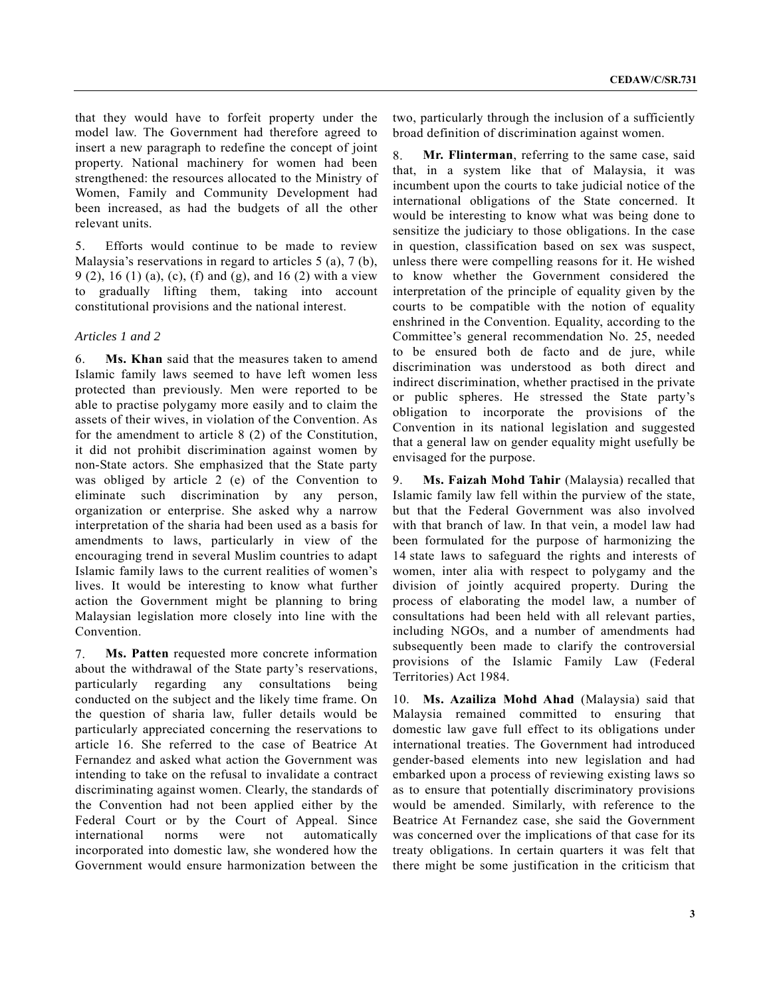that they would have to forfeit property under the model law. The Government had therefore agreed to insert a new paragraph to redefine the concept of joint property. National machinery for women had been strengthened: the resources allocated to the Ministry of Women, Family and Community Development had been increased, as had the budgets of all the other relevant units.

5. Efforts would continue to be made to review Malaysia's reservations in regard to articles 5 (a), 7 (b), 9 (2), 16 (1) (a), (c), (f) and (g), and 16 (2) with a view to gradually lifting them, taking into account constitutional provisions and the national interest.

#### *Articles 1 and 2*

6. **Ms. Khan** said that the measures taken to amend Islamic family laws seemed to have left women less protected than previously. Men were reported to be able to practise polygamy more easily and to claim the assets of their wives, in violation of the Convention. As for the amendment to article 8 (2) of the Constitution, it did not prohibit discrimination against women by non-State actors. She emphasized that the State party was obliged by article 2 (e) of the Convention to eliminate such discrimination by any person, organization or enterprise. She asked why a narrow interpretation of the sharia had been used as a basis for amendments to laws, particularly in view of the encouraging trend in several Muslim countries to adapt Islamic family laws to the current realities of women's lives. It would be interesting to know what further action the Government might be planning to bring Malaysian legislation more closely into line with the Convention.

7. **Ms. Patten** requested more concrete information about the withdrawal of the State party's reservations, particularly regarding any consultations being conducted on the subject and the likely time frame. On the question of sharia law, fuller details would be particularly appreciated concerning the reservations to article 16. She referred to the case of Beatrice At Fernandez and asked what action the Government was intending to take on the refusal to invalidate a contract discriminating against women. Clearly, the standards of the Convention had not been applied either by the Federal Court or by the Court of Appeal. Since international norms were not automatically incorporated into domestic law, she wondered how the Government would ensure harmonization between the

two, particularly through the inclusion of a sufficiently broad definition of discrimination against women.

8. **Mr. Flinterman**, referring to the same case, said that, in a system like that of Malaysia, it was incumbent upon the courts to take judicial notice of the international obligations of the State concerned. It would be interesting to know what was being done to sensitize the judiciary to those obligations. In the case in question, classification based on sex was suspect, unless there were compelling reasons for it. He wished to know whether the Government considered the interpretation of the principle of equality given by the courts to be compatible with the notion of equality enshrined in the Convention. Equality, according to the Committee's general recommendation No. 25, needed to be ensured both de facto and de jure, while discrimination was understood as both direct and indirect discrimination, whether practised in the private or public spheres. He stressed the State party's obligation to incorporate the provisions of the Convention in its national legislation and suggested that a general law on gender equality might usefully be envisaged for the purpose.

9. **Ms. Faizah Mohd Tahir** (Malaysia) recalled that Islamic family law fell within the purview of the state, but that the Federal Government was also involved with that branch of law. In that vein, a model law had been formulated for the purpose of harmonizing the 14 state laws to safeguard the rights and interests of women, inter alia with respect to polygamy and the division of jointly acquired property. During the process of elaborating the model law, a number of consultations had been held with all relevant parties, including NGOs, and a number of amendments had subsequently been made to clarify the controversial provisions of the Islamic Family Law (Federal Territories) Act 1984.

10. **Ms. Azailiza Mohd Ahad** (Malaysia) said that Malaysia remained committed to ensuring that domestic law gave full effect to its obligations under international treaties. The Government had introduced gender-based elements into new legislation and had embarked upon a process of reviewing existing laws so as to ensure that potentially discriminatory provisions would be amended. Similarly, with reference to the Beatrice At Fernandez case, she said the Government was concerned over the implications of that case for its treaty obligations. In certain quarters it was felt that there might be some justification in the criticism that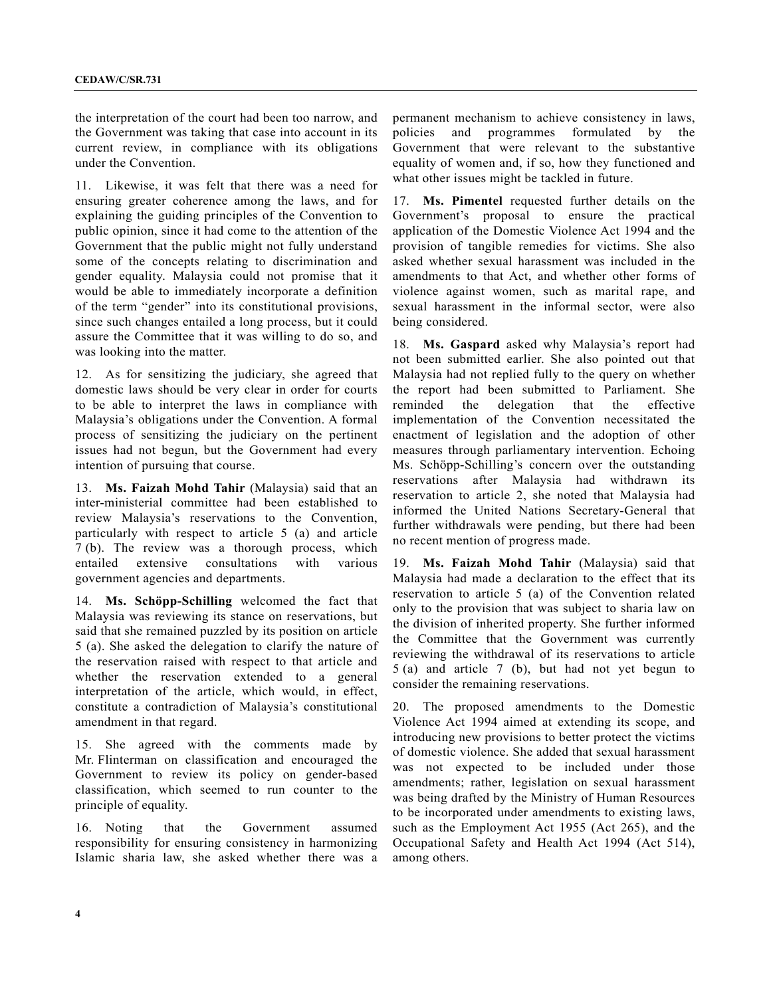the interpretation of the court had been too narrow, and the Government was taking that case into account in its current review, in compliance with its obligations under the Convention.

11. Likewise, it was felt that there was a need for ensuring greater coherence among the laws, and for explaining the guiding principles of the Convention to public opinion, since it had come to the attention of the Government that the public might not fully understand some of the concepts relating to discrimination and gender equality. Malaysia could not promise that it would be able to immediately incorporate a definition of the term "gender" into its constitutional provisions, since such changes entailed a long process, but it could assure the Committee that it was willing to do so, and was looking into the matter.

12. As for sensitizing the judiciary, she agreed that domestic laws should be very clear in order for courts to be able to interpret the laws in compliance with Malaysia's obligations under the Convention. A formal process of sensitizing the judiciary on the pertinent issues had not begun, but the Government had every intention of pursuing that course.

13. **Ms. Faizah Mohd Tahir** (Malaysia) said that an inter-ministerial committee had been established to review Malaysia's reservations to the Convention, particularly with respect to article 5 (a) and article 7 (b). The review was a thorough process, which entailed extensive consultations with various government agencies and departments.

14. **Ms. Schöpp-Schilling** welcomed the fact that Malaysia was reviewing its stance on reservations, but said that she remained puzzled by its position on article 5 (a). She asked the delegation to clarify the nature of the reservation raised with respect to that article and whether the reservation extended to a general interpretation of the article, which would, in effect, constitute a contradiction of Malaysia's constitutional amendment in that regard.

15. She agreed with the comments made by Mr. Flinterman on classification and encouraged the Government to review its policy on gender-based classification, which seemed to run counter to the principle of equality.

16. Noting that the Government assumed responsibility for ensuring consistency in harmonizing Islamic sharia law, she asked whether there was a permanent mechanism to achieve consistency in laws, policies and programmes formulated by the Government that were relevant to the substantive equality of women and, if so, how they functioned and what other issues might be tackled in future.

17. **Ms. Pimentel** requested further details on the Government's proposal to ensure the practical application of the Domestic Violence Act 1994 and the provision of tangible remedies for victims. She also asked whether sexual harassment was included in the amendments to that Act, and whether other forms of violence against women, such as marital rape, and sexual harassment in the informal sector, were also being considered.

18. **Ms. Gaspard** asked why Malaysia's report had not been submitted earlier. She also pointed out that Malaysia had not replied fully to the query on whether the report had been submitted to Parliament. She reminded the delegation that the effective implementation of the Convention necessitated the enactment of legislation and the adoption of other measures through parliamentary intervention. Echoing Ms. Schöpp-Schilling's concern over the outstanding reservations after Malaysia had withdrawn its reservation to article 2, she noted that Malaysia had informed the United Nations Secretary-General that further withdrawals were pending, but there had been no recent mention of progress made.

19. **Ms. Faizah Mohd Tahir** (Malaysia) said that Malaysia had made a declaration to the effect that its reservation to article 5 (a) of the Convention related only to the provision that was subject to sharia law on the division of inherited property. She further informed the Committee that the Government was currently reviewing the withdrawal of its reservations to article 5 (a) and article 7 (b), but had not yet begun to consider the remaining reservations.

20. The proposed amendments to the Domestic Violence Act 1994 aimed at extending its scope, and introducing new provisions to better protect the victims of domestic violence. She added that sexual harassment was not expected to be included under those amendments; rather, legislation on sexual harassment was being drafted by the Ministry of Human Resources to be incorporated under amendments to existing laws, such as the Employment Act 1955 (Act 265), and the Occupational Safety and Health Act 1994 (Act 514), among others.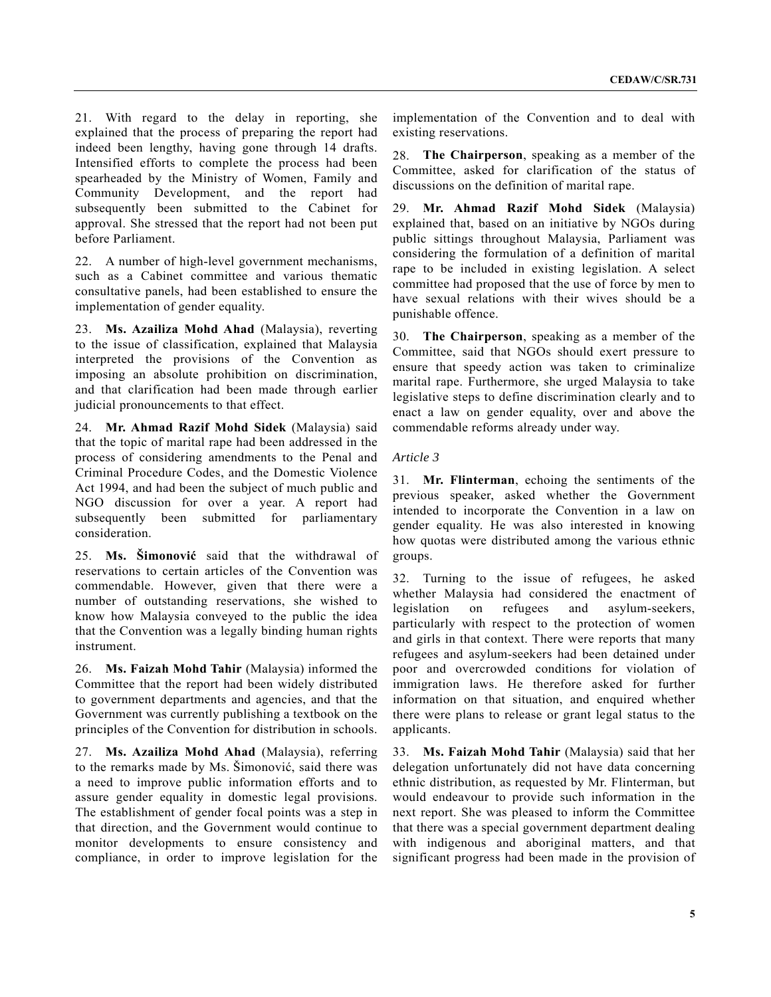21. With regard to the delay in reporting, she explained that the process of preparing the report had indeed been lengthy, having gone through 14 drafts. Intensified efforts to complete the process had been spearheaded by the Ministry of Women, Family and Community Development, and the report had subsequently been submitted to the Cabinet for approval. She stressed that the report had not been put before Parliament.

22. A number of high-level government mechanisms, such as a Cabinet committee and various thematic consultative panels, had been established to ensure the implementation of gender equality.

23. **Ms. Azailiza Mohd Ahad** (Malaysia), reverting to the issue of classification, explained that Malaysia interpreted the provisions of the Convention as imposing an absolute prohibition on discrimination, and that clarification had been made through earlier judicial pronouncements to that effect.

24. **Mr. Ahmad Razif Mohd Sidek** (Malaysia) said that the topic of marital rape had been addressed in the process of considering amendments to the Penal and Criminal Procedure Codes, and the Domestic Violence Act 1994, and had been the subject of much public and NGO discussion for over a year. A report had subsequently been submitted for parliamentary consideration.

25. **Ms. Šimonović** said that the withdrawal of reservations to certain articles of the Convention was commendable. However, given that there were a number of outstanding reservations, she wished to know how Malaysia conveyed to the public the idea that the Convention was a legally binding human rights instrument.

26. **Ms. Faizah Mohd Tahir** (Malaysia) informed the Committee that the report had been widely distributed to government departments and agencies, and that the Government was currently publishing a textbook on the principles of the Convention for distribution in schools.

27. **Ms. Azailiza Mohd Ahad** (Malaysia), referring to the remarks made by Ms. Šimonović, said there was a need to improve public information efforts and to assure gender equality in domestic legal provisions. The establishment of gender focal points was a step in that direction, and the Government would continue to monitor developments to ensure consistency and compliance, in order to improve legislation for the

implementation of the Convention and to deal with existing reservations.

28. **The Chairperson**, speaking as a member of the Committee, asked for clarification of the status of discussions on the definition of marital rape.

29. **Mr. Ahmad Razif Mohd Sidek** (Malaysia) explained that, based on an initiative by NGOs during public sittings throughout Malaysia, Parliament was considering the formulation of a definition of marital rape to be included in existing legislation. A select committee had proposed that the use of force by men to have sexual relations with their wives should be a punishable offence.

30. **The Chairperson**, speaking as a member of the Committee, said that NGOs should exert pressure to ensure that speedy action was taken to criminalize marital rape. Furthermore, she urged Malaysia to take legislative steps to define discrimination clearly and to enact a law on gender equality, over and above the commendable reforms already under way.

## *Article 3*

31. **Mr. Flinterman**, echoing the sentiments of the previous speaker, asked whether the Government intended to incorporate the Convention in a law on gender equality. He was also interested in knowing how quotas were distributed among the various ethnic groups.

32. Turning to the issue of refugees, he asked whether Malaysia had considered the enactment of legislation on refugees and asylum-seekers, particularly with respect to the protection of women and girls in that context. There were reports that many refugees and asylum-seekers had been detained under poor and overcrowded conditions for violation of immigration laws. He therefore asked for further information on that situation, and enquired whether there were plans to release or grant legal status to the applicants.

33. **Ms. Faizah Mohd Tahir** (Malaysia) said that her delegation unfortunately did not have data concerning ethnic distribution, as requested by Mr. Flinterman, but would endeavour to provide such information in the next report. She was pleased to inform the Committee that there was a special government department dealing with indigenous and aboriginal matters, and that significant progress had been made in the provision of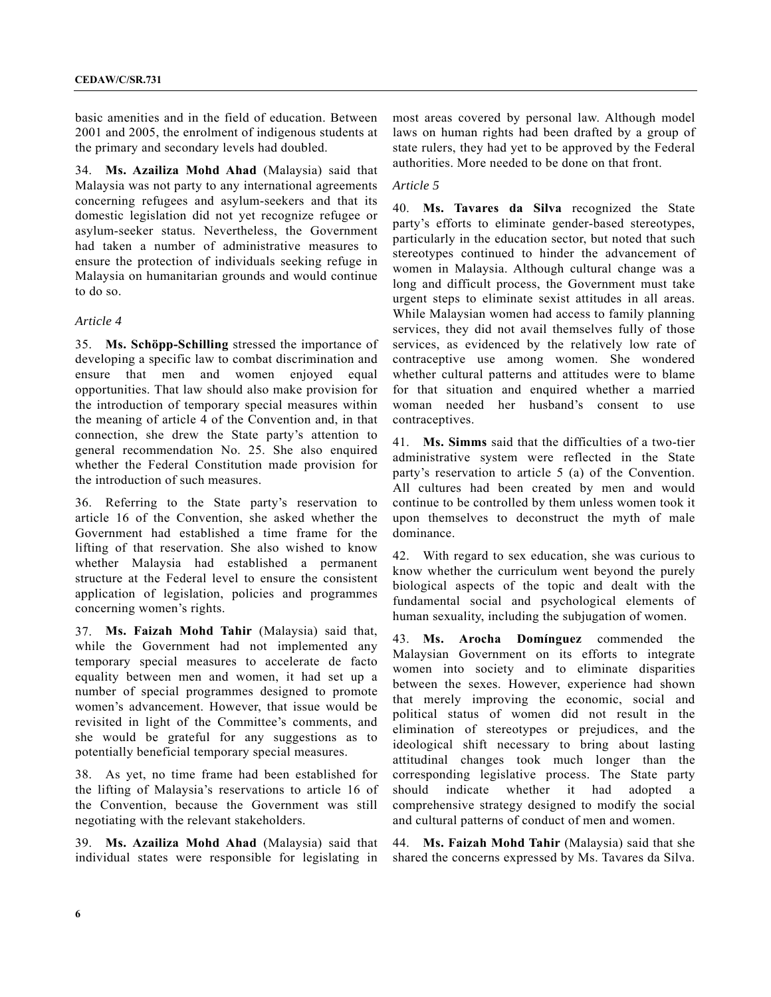basic amenities and in the field of education. Between 2001 and 2005, the enrolment of indigenous students at the primary and secondary levels had doubled.

34. **Ms. Azailiza Mohd Ahad** (Malaysia) said that Malaysia was not party to any international agreements concerning refugees and asylum-seekers and that its domestic legislation did not yet recognize refugee or asylum-seeker status. Nevertheless, the Government had taken a number of administrative measures to ensure the protection of individuals seeking refuge in Malaysia on humanitarian grounds and would continue to do so.

### *Article 4*

35. **Ms. Schöpp-Schilling** stressed the importance of developing a specific law to combat discrimination and ensure that men and women enjoyed equal opportunities. That law should also make provision for the introduction of temporary special measures within the meaning of article 4 of the Convention and, in that connection, she drew the State party's attention to general recommendation No. 25. She also enquired whether the Federal Constitution made provision for the introduction of such measures.

36. Referring to the State party's reservation to article 16 of the Convention, she asked whether the Government had established a time frame for the lifting of that reservation. She also wished to know whether Malaysia had established a permanent structure at the Federal level to ensure the consistent application of legislation, policies and programmes concerning women's rights.

37. **Ms. Faizah Mohd Tahir** (Malaysia) said that, while the Government had not implemented any temporary special measures to accelerate de facto equality between men and women, it had set up a number of special programmes designed to promote women's advancement. However, that issue would be revisited in light of the Committee's comments, and she would be grateful for any suggestions as to potentially beneficial temporary special measures.

38. As yet, no time frame had been established for the lifting of Malaysia's reservations to article 16 of the Convention, because the Government was still negotiating with the relevant stakeholders.

39. **Ms. Azailiza Mohd Ahad** (Malaysia) said that individual states were responsible for legislating in most areas covered by personal law. Although model laws on human rights had been drafted by a group of state rulers, they had yet to be approved by the Federal authorities. More needed to be done on that front.

### *Article 5*

40. **Ms. Tavares da Silva** recognized the State party's efforts to eliminate gender-based stereotypes, particularly in the education sector, but noted that such stereotypes continued to hinder the advancement of women in Malaysia. Although cultural change was a long and difficult process, the Government must take urgent steps to eliminate sexist attitudes in all areas. While Malaysian women had access to family planning services, they did not avail themselves fully of those services, as evidenced by the relatively low rate of contraceptive use among women. She wondered whether cultural patterns and attitudes were to blame for that situation and enquired whether a married woman needed her husband's consent to use contraceptives.

41. **Ms. Simms** said that the difficulties of a two-tier administrative system were reflected in the State party's reservation to article 5 (a) of the Convention. All cultures had been created by men and would continue to be controlled by them unless women took it upon themselves to deconstruct the myth of male dominance.

42. With regard to sex education, she was curious to know whether the curriculum went beyond the purely biological aspects of the topic and dealt with the fundamental social and psychological elements of human sexuality, including the subjugation of women.

43. **Ms. Arocha Domínguez** commended the Malaysian Government on its efforts to integrate women into society and to eliminate disparities between the sexes. However, experience had shown that merely improving the economic, social and political status of women did not result in the elimination of stereotypes or prejudices, and the ideological shift necessary to bring about lasting attitudinal changes took much longer than the corresponding legislative process. The State party should indicate whether it had adopted a comprehensive strategy designed to modify the social and cultural patterns of conduct of men and women.

44. **Ms. Faizah Mohd Tahir** (Malaysia) said that she shared the concerns expressed by Ms. Tavares da Silva.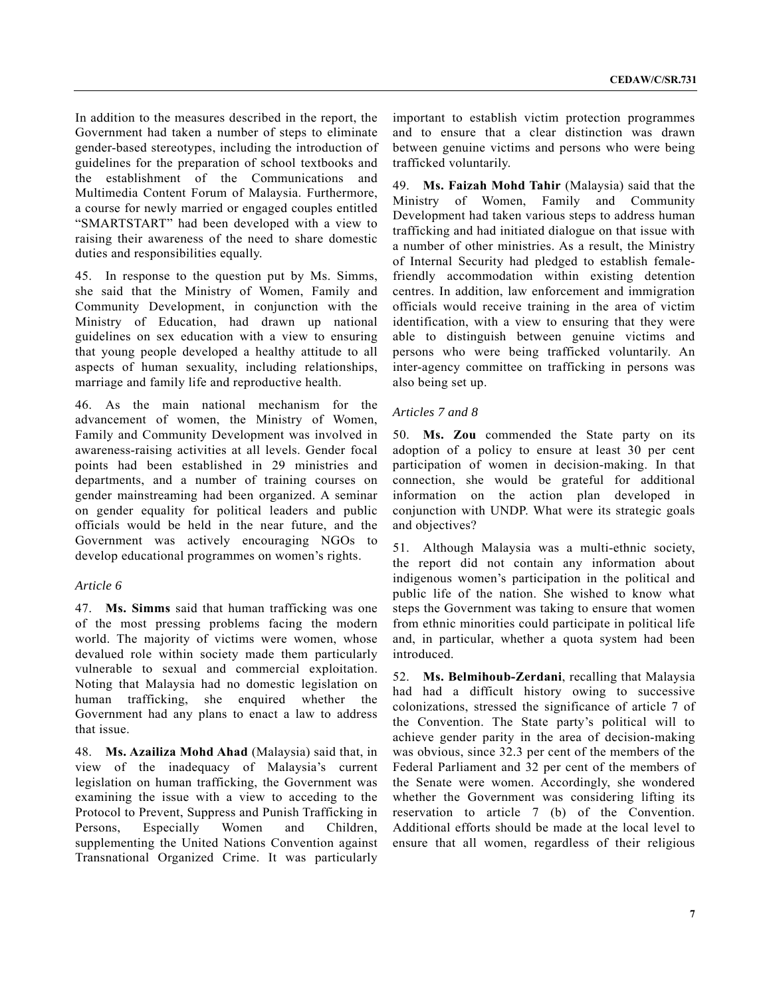In addition to the measures described in the report, the Government had taken a number of steps to eliminate gender-based stereotypes, including the introduction of guidelines for the preparation of school textbooks and the establishment of the Communications and Multimedia Content Forum of Malaysia. Furthermore, a course for newly married or engaged couples entitled "SMARTSTART" had been developed with a view to raising their awareness of the need to share domestic duties and responsibilities equally.

45. In response to the question put by Ms. Simms, she said that the Ministry of Women, Family and Community Development, in conjunction with the Ministry of Education, had drawn up national guidelines on sex education with a view to ensuring that young people developed a healthy attitude to all aspects of human sexuality, including relationships, marriage and family life and reproductive health.

46. As the main national mechanism for the advancement of women, the Ministry of Women, Family and Community Development was involved in awareness-raising activities at all levels. Gender focal points had been established in 29 ministries and departments, and a number of training courses on gender mainstreaming had been organized. A seminar on gender equality for political leaders and public officials would be held in the near future, and the Government was actively encouraging NGOs to develop educational programmes on women's rights.

### *Article 6*

47. **Ms. Simms** said that human trafficking was one of the most pressing problems facing the modern world. The majority of victims were women, whose devalued role within society made them particularly vulnerable to sexual and commercial exploitation. Noting that Malaysia had no domestic legislation on human trafficking, she enquired whether the Government had any plans to enact a law to address that issue.

48. **Ms. Azailiza Mohd Ahad** (Malaysia) said that, in view of the inadequacy of Malaysia's current legislation on human trafficking, the Government was examining the issue with a view to acceding to the Protocol to Prevent, Suppress and Punish Trafficking in Persons, Especially Women and Children, supplementing the United Nations Convention against Transnational Organized Crime. It was particularly

important to establish victim protection programmes and to ensure that a clear distinction was drawn between genuine victims and persons who were being trafficked voluntarily.

49. **Ms. Faizah Mohd Tahir** (Malaysia) said that the Ministry of Women, Family and Community Development had taken various steps to address human trafficking and had initiated dialogue on that issue with a number of other ministries. As a result, the Ministry of Internal Security had pledged to establish femalefriendly accommodation within existing detention centres. In addition, law enforcement and immigration officials would receive training in the area of victim identification, with a view to ensuring that they were able to distinguish between genuine victims and persons who were being trafficked voluntarily. An inter-agency committee on trafficking in persons was also being set up.

#### *Articles 7 and 8*

50. **Ms. Zou** commended the State party on its adoption of a policy to ensure at least 30 per cent participation of women in decision-making. In that connection, she would be grateful for additional information on the action plan developed in conjunction with UNDP. What were its strategic goals and objectives?

51. Although Malaysia was a multi-ethnic society, the report did not contain any information about indigenous women's participation in the political and public life of the nation. She wished to know what steps the Government was taking to ensure that women from ethnic minorities could participate in political life and, in particular, whether a quota system had been introduced.

52. **Ms. Belmihoub-Zerdani**, recalling that Malaysia had had a difficult history owing to successive colonizations, stressed the significance of article 7 of the Convention. The State party's political will to achieve gender parity in the area of decision-making was obvious, since 32.3 per cent of the members of the Federal Parliament and 32 per cent of the members of the Senate were women. Accordingly, she wondered whether the Government was considering lifting its reservation to article 7 (b) of the Convention. Additional efforts should be made at the local level to ensure that all women, regardless of their religious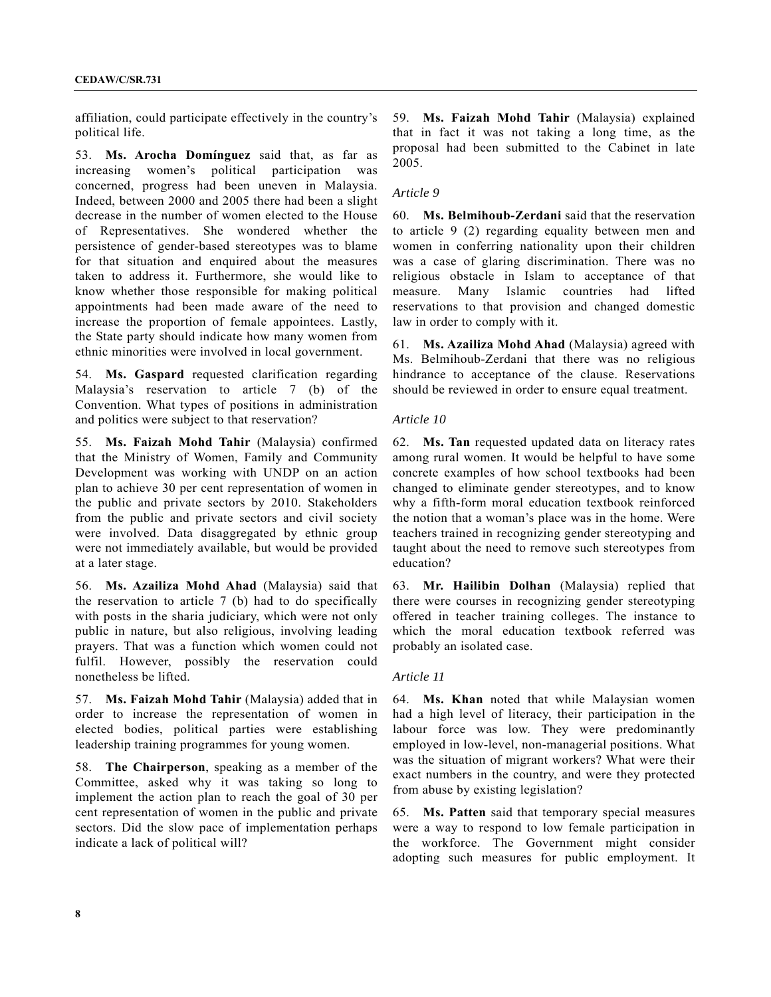affiliation, could participate effectively in the country's political life.

53. **Ms. Arocha Domínguez** said that, as far as increasing women's political participation was concerned, progress had been uneven in Malaysia. Indeed, between 2000 and 2005 there had been a slight decrease in the number of women elected to the House of Representatives. She wondered whether the persistence of gender-based stereotypes was to blame for that situation and enquired about the measures taken to address it. Furthermore, she would like to know whether those responsible for making political appointments had been made aware of the need to increase the proportion of female appointees. Lastly, the State party should indicate how many women from ethnic minorities were involved in local government.

54. **Ms. Gaspard** requested clarification regarding Malaysia's reservation to article 7 (b) of the Convention. What types of positions in administration and politics were subject to that reservation?

55. **Ms. Faizah Mohd Tahir** (Malaysia) confirmed that the Ministry of Women, Family and Community Development was working with UNDP on an action plan to achieve 30 per cent representation of women in the public and private sectors by 2010. Stakeholders from the public and private sectors and civil society were involved. Data disaggregated by ethnic group were not immediately available, but would be provided at a later stage.

56. **Ms. Azailiza Mohd Ahad** (Malaysia) said that the reservation to article 7 (b) had to do specifically with posts in the sharia judiciary, which were not only public in nature, but also religious, involving leading prayers. That was a function which women could not fulfil. However, possibly the reservation could nonetheless be lifted.

57. **Ms. Faizah Mohd Tahir** (Malaysia) added that in order to increase the representation of women in elected bodies, political parties were establishing leadership training programmes for young women.

58. **The Chairperson**, speaking as a member of the Committee, asked why it was taking so long to implement the action plan to reach the goal of 30 per cent representation of women in the public and private sectors. Did the slow pace of implementation perhaps indicate a lack of political will?

59. **Ms. Faizah Mohd Tahir** (Malaysia) explained that in fact it was not taking a long time, as the proposal had been submitted to the Cabinet in late 2005.

### *Article 9*

60. **Ms. Belmihoub-Zerdani** said that the reservation to article 9 (2) regarding equality between men and women in conferring nationality upon their children was a case of glaring discrimination. There was no religious obstacle in Islam to acceptance of that measure. Many Islamic countries had lifted reservations to that provision and changed domestic law in order to comply with it.

61. **Ms. Azailiza Mohd Ahad** (Malaysia) agreed with Ms. Belmihoub-Zerdani that there was no religious hindrance to acceptance of the clause. Reservations should be reviewed in order to ensure equal treatment.

#### *Article 10*

62. **Ms. Tan** requested updated data on literacy rates among rural women. It would be helpful to have some concrete examples of how school textbooks had been changed to eliminate gender stereotypes, and to know why a fifth-form moral education textbook reinforced the notion that a woman's place was in the home. Were teachers trained in recognizing gender stereotyping and taught about the need to remove such stereotypes from education?

63. **Mr. Hailibin Dolhan** (Malaysia) replied that there were courses in recognizing gender stereotyping offered in teacher training colleges. The instance to which the moral education textbook referred was probably an isolated case.

### *Article 11*

64. **Ms. Khan** noted that while Malaysian women had a high level of literacy, their participation in the labour force was low. They were predominantly employed in low-level, non-managerial positions. What was the situation of migrant workers? What were their exact numbers in the country, and were they protected from abuse by existing legislation?

65. **Ms. Patten** said that temporary special measures were a way to respond to low female participation in the workforce. The Government might consider adopting such measures for public employment. It